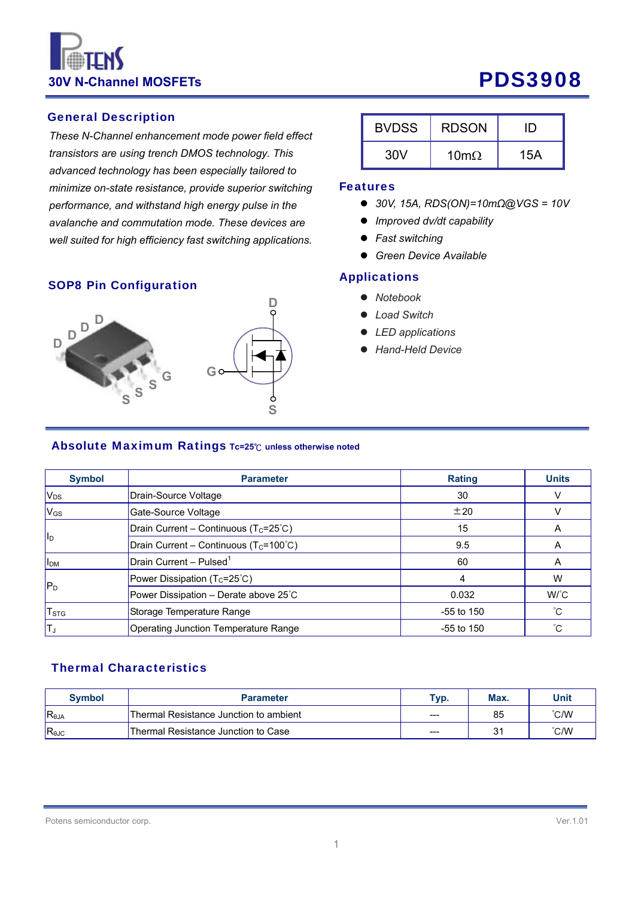# **30V N-Channel MOSFETs** PDS3908

## General Description

*These N-Channel enhancement mode power field effect transistors are using trench DMOS technology. This advanced technology has been especially tailored to minimize on-state resistance, provide superior switching performance, and withstand high energy pulse in the avalanche and commutation mode. These devices are well suited for high efficiency fast switching applications.*

#### SOP8 Pin Configuration



| <b>BVDSS</b> | <b>RDSON</b> |     |
|--------------|--------------|-----|
| 30V          | 10m $\Omega$ | 15A |

#### Features

- *30V, 15A, RDS(ON)=10mΩ@VGS = 10V*
- *Improved dv/dt capability*
- *Fast switching*
- *Green Device Available*

#### **Applications**

- *Notebook*
- *Load Switch*
- *LED applications*
- *Hand-Held Device*

#### Absolute Maximum Ratings **Tc=25**℃ **unless otherwise noted**

| <b>Symbol</b>             | <b>Parameter</b>                                    | <b>Rating</b> | <b>Units</b> |
|---------------------------|-----------------------------------------------------|---------------|--------------|
| V <sub>DS</sub>           | Drain-Source Voltage                                | 30            | v            |
| <b>V<sub>GS</sub></b>     | Gate-Source Voltage                                 | ±20           | V            |
|                           | Drain Current - Continuous ( $T_c = 25^{\circ}C$ )  | 15            | A            |
| <b>I</b> I <sub>D</sub>   | Drain Current - Continuous ( $T_c = 100^{\circ}C$ ) | 9.5           | Α            |
| <b>II<sub>DM</sub></b>    | Drain Current - Pulsed <sup>1</sup>                 | 60            | A            |
|                           | Power Dissipation $(T_c=25^{\circ}C)$               | 4             | W            |
| $ P_D $                   | Power Dissipation - Derate above 25°C               | 0.032         | $W^{\circ}C$ |
| $\mathsf{T}_{\text{STG}}$ | Storage Temperature Range                           | $-55$ to 150  | $^{\circ}C$  |
| Tյ                        | Operating Junction Temperature Range                | $-55$ to 150  | °С           |

#### Thermal Characteristics

| <b>Symbol</b>  | <b>Parameter</b>                       | Typ.  | Max. | Unit          |
|----------------|----------------------------------------|-------|------|---------------|
| $R_{\theta$ JA | Thermal Resistance Junction to ambient | ---   | 85   | °C/W          |
| $R_{\theta$ JC | Thermal Resistance Junction to Case    | $---$ | ں    | $\degree$ C/W |

#### Potens semiconductor corp. Ver.1.01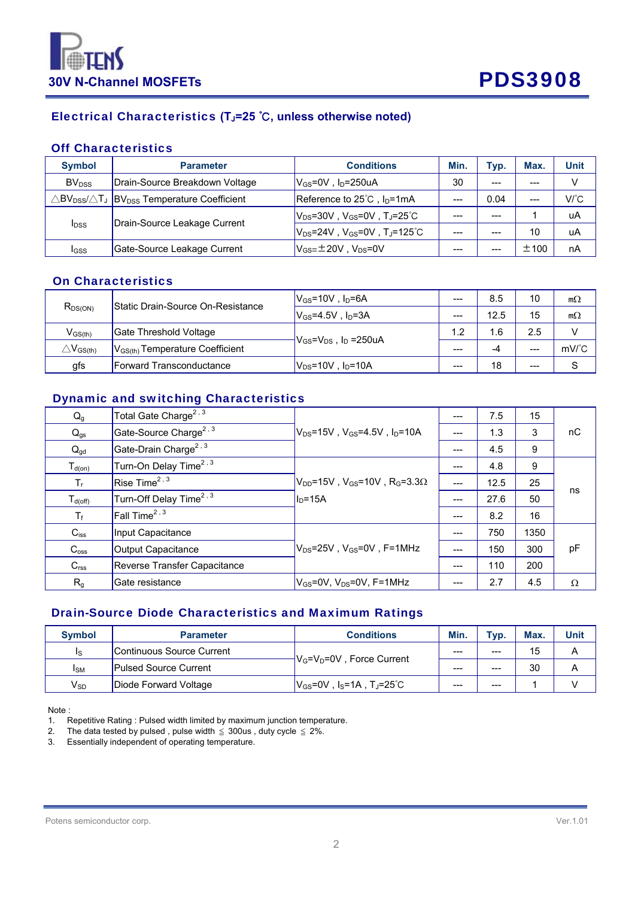



## Electrical Characteristics **(TJ=25** ℃**, unless otherwise noted)**

#### Off Characteristics

| <b>Symbol</b>            | <b>Parameter</b>                                                                                                    | <b>Conditions</b>                                  | Min.  | Typ.  | Max.  | <b>Unit</b>  |
|--------------------------|---------------------------------------------------------------------------------------------------------------------|----------------------------------------------------|-------|-------|-------|--------------|
| <b>BV</b> <sub>DSS</sub> | Drain-Source Breakdown Voltage                                                                                      | $V_{GS}$ =0V, $I_D$ =250uA                         | 30    | $---$ | $---$ |              |
|                          | $\triangle$ BV $_{\text{DSS}}$ / $\triangle$ T $_{\text{J}}$ $\ket{\text{BV}_{\text{DSS}}}$ Temperature Coefficient | Reference to $25^{\circ}$ C, $I_{D} = 1 \text{mA}$ | $---$ | 0.04  | $---$ | $V^{\circ}C$ |
| <b>I</b> <sub>DSS</sub>  | Drain-Source Leakage Current                                                                                        | $ V_{DS}$ =30V, $V_{GS}$ =0V, Tj=25 $^{\circ}$ C   | $---$ | ---   |       | uA           |
|                          |                                                                                                                     | $V_{DS}$ =24V, $V_{GS}$ =0V, TJ=125 $°C$           | $---$ | ---   | 10    | uA           |
| IGSS                     | Gate-Source Leakage Current                                                                                         | $V_{GS} = \pm 20V$ , $V_{DS} = 0V$                 |       |       | ±100  | nA           |

#### On Characteristics

| $R_{DS(ON)}$                                      | <b>Static Drain-Source On-Resistance</b>                                   | $V_{GS}$ =10V, $I_D$ =6A  | 8.5<br>$---$ |      | 10    | $m\Omega$     |
|---------------------------------------------------|----------------------------------------------------------------------------|---------------------------|--------------|------|-------|---------------|
|                                                   |                                                                            | $V_{GS}$ =4.5V . In=3A    | $---$        | 12.5 | 15    | $m\Omega$     |
| $V_{GS(th)}$                                      | Gate Threshold Voltage                                                     |                           |              | I.6  | 2.5   |               |
| $\triangle \mathsf{V}_{\mathsf{GS}(\mathsf{th})}$ | $V_{GS} = V_{DS}$ , $I_D = 250uA$<br>$ V_{GS(th)}$ Temperature Coefficient |                           | $---$        | -4   | ---   | $mV^{\circ}C$ |
| gfs                                               | <b>Forward Transconductance</b>                                            | $V_{DS}$ =10V, $I_D$ =10A | $---$        | 18   | $---$ |               |

## Dynamic and switching Characteristics

| $Q_g$             | Total Gate Charge <sup>2, 3</sup>   |                                                                               |       | 7.5  | 15   |          |
|-------------------|-------------------------------------|-------------------------------------------------------------------------------|-------|------|------|----------|
| $\mathbf{Q}_{gs}$ | Gate-Source Charge <sup>2, 3</sup>  | $ V_{DS}$ =15V, $V_{GS}$ =4.5V, $I_D$ =10A                                    |       | 1.3  | 3    | пC       |
| $Q_{gd}$          | Gate-Drain Charge <sup>2, 3</sup>   |                                                                               | ---   | 4.5  | 9    |          |
| $T_{d(on)}$       | Turn-On Delay Time <sup>2, 3</sup>  |                                                                               |       | 4.8  | 9    |          |
| $T_{r}$           | Rise Time <sup>2, 3</sup>           | $ V_{\text{DD}}$ =15V , $V_{\text{GS}}$ =10V , R $_{\text{GS}}$ =3.3 $\Omega$ |       | 12.5 | 25   |          |
| $T_{d(off)}$      | Turn-Off Delay Time <sup>2, 3</sup> | $ID=15A$                                                                      | $---$ | 27.6 | 50   | ns       |
| $T_f$             | Fall Time <sup>2, 3</sup>           |                                                                               | $---$ | 8.2  | 16   |          |
| $C_{iss}$         | Input Capacitance                   |                                                                               | ---   | 750  | 1350 |          |
| $C_{\text{oss}}$  | Output Capacitance                  | $V_{DS}$ =25V . $V_{GS}$ =0V . F=1MHz                                         |       | 150  | 300  | pF       |
| C <sub>rss</sub>  | Reverse Transfer Capacitance        |                                                                               | ---   | 110  | 200  |          |
| R <sub>g</sub>    | Gate resistance                     | $V_{GS}$ =0V, V $_{DS}$ =0V, F=1MHz                                           |       | 2.7  | 4.5  | $\Omega$ |

### Drain-Source Diode Characteristics and Maximum Ratings

| <b>Symbol</b>              | <b>Parameter</b>             | <b>Conditions</b>                                                | Min.  | Typ.    | Max. | <b>Unit</b> |
|----------------------------|------------------------------|------------------------------------------------------------------|-------|---------|------|-------------|
| Is                         | Continuous Source Current    | $\overline{W_{G}}$ = $V_{D}$ =0V, Force Current                  | $---$ | ---     | 15   | Α           |
| ISM                        | <b>Pulsed Source Current</b> |                                                                  | $---$ | $- - -$ | 30   |             |
| $\mathsf{V}_{\mathsf{SD}}$ | Diode Forward Voltage        | $ V_{\text{GS}}$ =0V , I <sub>S</sub> =1A , T」=25 $^{\circ}$ C . | $---$ | ---     |      |             |

Note :

1. Repetitive Rating : Pulsed width limited by maximum junction temperature.

2. The data tested by pulsed, pulse width  $\leq$  300us, duty cycle  $\leq$  2%.

3. Essentially independent of operating temperature.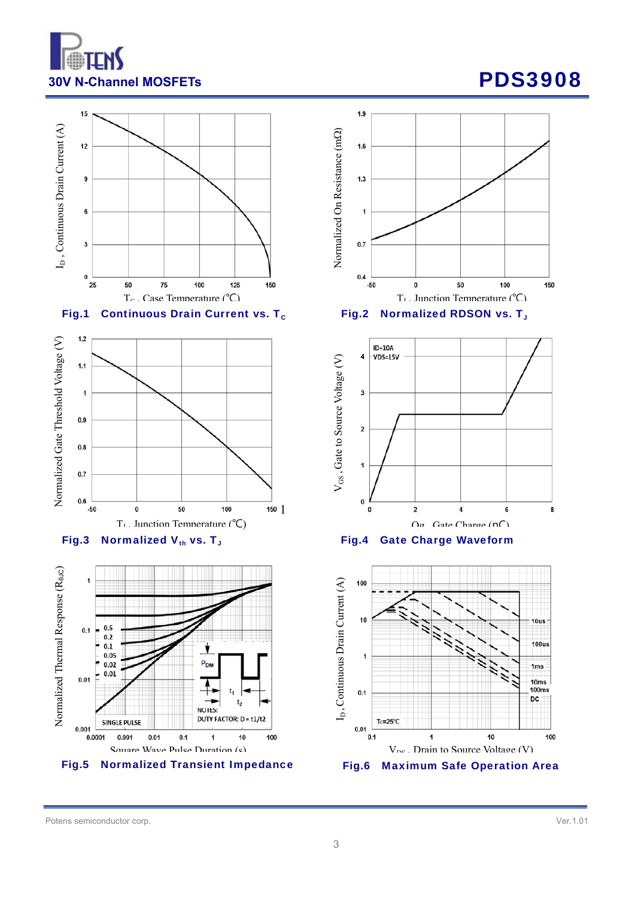











Potens semiconductor corp. Ver.1.01

 $1.9$ Normalized On Resistance (m $\Omega$ ) Normalized On Resistance (m  $1.6$  $1.3$ 1  $0.7$  $0.4\,$  $-50$ 100  $\bf{0}$ 50 150 T<sub>r</sub> Iunction Temperature  $(^{\circ}\mathcal{C})$ 

Fig.2 Normalized RDSON vs. T<sub>J</sub>



Fig.4 Gate Charge Waveform

10us  $100us$  $1ms$  $10ms$ 100ms DC.  $10$ 100 V<sub>DG</sub> Drain to Source Voltage (V) Fig.6 Maximum Safe Operation Area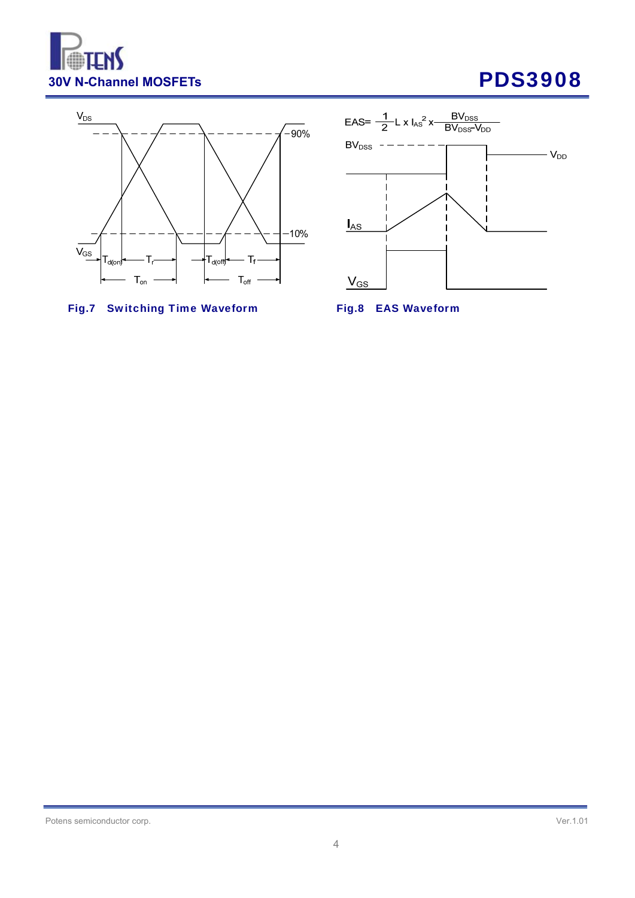